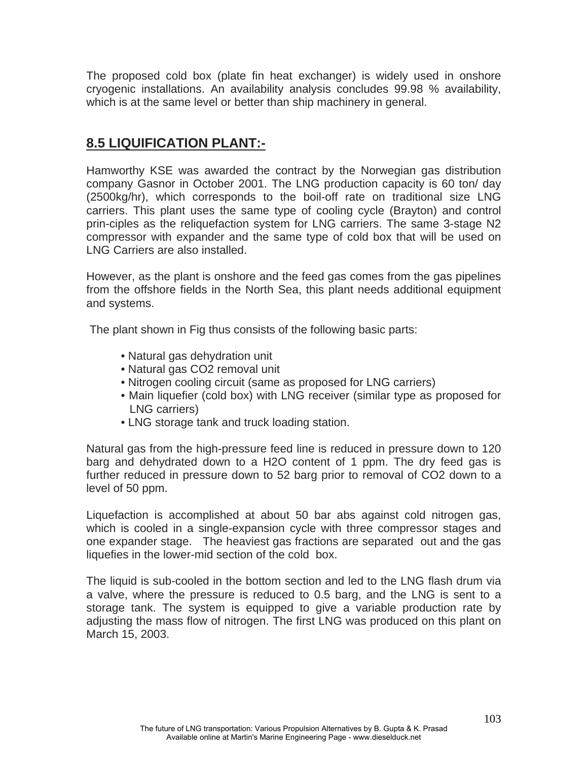The proposed cold box (plate fin heat exchanger) is widely used in onshore cryogenic installations. An availability analysis concludes 99.98 % availability, which is at the same level or better than ship machinery in general.

### **8.5 LIQUIFICATION PLANT:-**

Hamworthy KSE was awarded the contract by the Norwegian gas distribution company Gasnor in October 2001. The LNG production capacity is 60 ton/ day (2500kg/hr), which corresponds to the boil-off rate on traditional size LNG carriers. This plant uses the same type of cooling cycle (Brayton) and control prin-ciples as the reliquefaction system for LNG carriers. The same 3-stage N2 compressor with expander and the same type of cold box that will be used on LNG Carriers are also installed.

However, as the plant is onshore and the feed gas comes from the gas pipelines from the offshore fields in the North Sea, this plant needs additional equipment and systems.

The plant shown in Fig thus consists of the following basic parts:

- Natural gas dehydration unit
- Natural gas CO2 removal unit
- Nitrogen cooling circuit (same as proposed for LNG carriers)
- Main liquefier (cold box) with LNG receiver (similar type as proposed for LNG carriers)
- LNG storage tank and truck loading station.

Natural gas from the high-pressure feed line is reduced in pressure down to 120 barg and dehydrated down to a H2O content of 1 ppm. The dry feed gas is further reduced in pressure down to 52 barg prior to removal of CO2 down to a level of 50 ppm.

Liquefaction is accomplished at about 50 bar abs against cold nitrogen gas, which is cooled in a single-expansion cycle with three compressor stages and one expander stage. The heaviest gas fractions are separated out and the gas liquefies in the lower-mid section of the cold box.

The liquid is sub-cooled in the bottom section and led to the LNG flash drum via a valve, where the pressure is reduced to 0.5 barg, and the LNG is sent to a storage tank. The system is equipped to give a variable production rate by adjusting the mass flow of nitrogen. The first LNG was produced on this plant on March 15, 2003.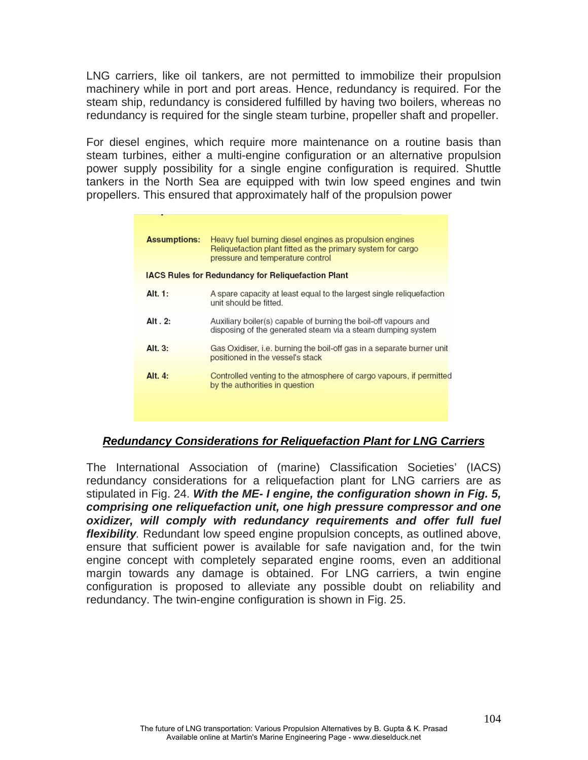LNG carriers, like oil tankers, are not permitted to immobilize their propulsion machinery while in port and port areas. Hence, redundancy is required. For the steam ship, redundancy is considered fulfilled by having two boilers, whereas no redundancy is required for the single steam turbine, propeller shaft and propeller.

For diesel engines, which require more maintenance on a routine basis than steam turbines, either a multi-engine configuration or an alternative propulsion power supply possibility for a single engine configuration is required. Shuttle tankers in the North Sea are equipped with twin low speed engines and twin propellers. This ensured that approximately half of the propulsion power

| <b>Assumptions:</b> | Heavy fuel burning diesel engines as propulsion engines<br>Reliquefaction plant fitted as the primary system for cargo<br>pressure and temperature control |
|---------------------|------------------------------------------------------------------------------------------------------------------------------------------------------------|
|                     | <b>IACS Rules for Redundancy for Reliquefaction Plant</b>                                                                                                  |
| Alt. 1:             | A spare capacity at least equal to the largest single reliquefaction<br>unit should be fitted.                                                             |
| Alt. 2:             | Auxiliary boiler(s) capable of burning the boil-off vapours and<br>disposing of the generated steam via a steam dumping system                             |
| Alt. 3:             | Gas Oxidiser, i.e. burning the boil-off gas in a separate burner unit<br>positioned in the vessel's stack                                                  |
| Alt. $4:$           | Controlled venting to the atmosphere of cargo vapours, if permitted<br>by the authorities in question                                                      |

#### *Redundancy Considerations for Reliquefaction Plant for LNG Carriers*

The International Association of (marine) Classification Societies' (IACS) redundancy considerations for a reliquefaction plant for LNG carriers are as stipulated in Fig. 24. *With the ME- I engine, the configuration shown in Fig. 5, comprising one reliquefaction unit, one high pressure compressor and one oxidizer, will comply with redundancy requirements and offer full fuel flexibility.* Redundant low speed engine propulsion concepts, as outlined above, ensure that sufficient power is available for safe navigation and, for the twin engine concept with completely separated engine rooms, even an additional margin towards any damage is obtained. For LNG carriers, a twin engine configuration is proposed to alleviate any possible doubt on reliability and redundancy. The twin-engine configuration is shown in Fig. 25.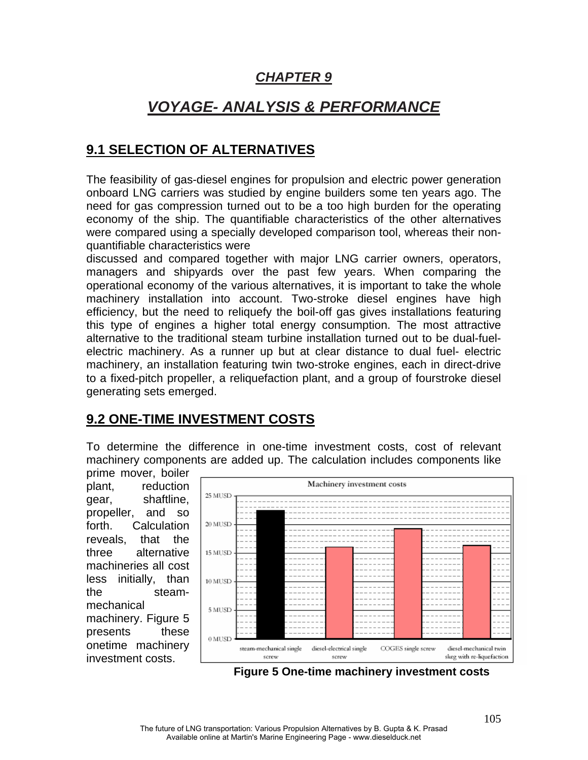# *CHAPTER 9*

# *VOYAGE- ANALYSIS & PERFORMANCE*

## **9.1 SELECTION OF ALTERNATIVES**

The feasibility of gas-diesel engines for propulsion and electric power generation onboard LNG carriers was studied by engine builders some ten years ago. The need for gas compression turned out to be a too high burden for the operating economy of the ship. The quantifiable characteristics of the other alternatives were compared using a specially developed comparison tool, whereas their nonquantifiable characteristics were

discussed and compared together with major LNG carrier owners, operators, managers and shipyards over the past few years. When comparing the operational economy of the various alternatives, it is important to take the whole machinery installation into account. Two-stroke diesel engines have high efficiency, but the need to reliquefy the boil-off gas gives installations featuring this type of engines a higher total energy consumption. The most attractive alternative to the traditional steam turbine installation turned out to be dual-fuelelectric machinery. As a runner up but at clear distance to dual fuel- electric machinery, an installation featuring twin two-stroke engines, each in direct-drive to a fixed-pitch propeller, a reliquefaction plant, and a group of fourstroke diesel generating sets emerged.

### **9.2 ONE-TIME INVESTMENT COSTS**

To determine the difference in one-time investment costs, cost of relevant machinery components are added up. The calculation includes components like

prime mover, boiler plant, reduction gear, shaftline, propeller, and so forth. Calculation reveals, that the three alternative machineries all cost less initially, than the steammechanical machinery. Figure 5 presents these onetime machinery investment costs.



 **Figure 5 One-time machinery investment costs**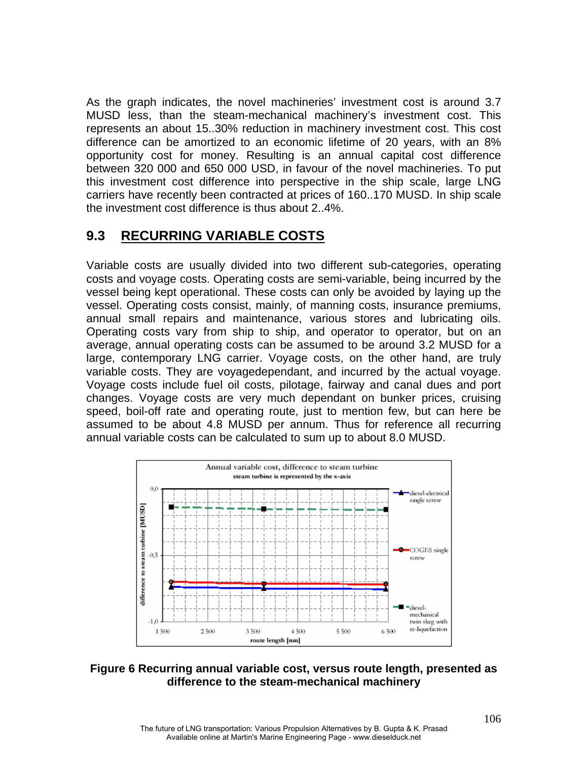As the graph indicates, the novel machineries' investment cost is around 3.7 MUSD less, than the steam-mechanical machinery's investment cost. This represents an about 15..30% reduction in machinery investment cost. This cost difference can be amortized to an economic lifetime of 20 years, with an 8% opportunity cost for money. Resulting is an annual capital cost difference between 320 000 and 650 000 USD, in favour of the novel machineries. To put this investment cost difference into perspective in the ship scale, large LNG carriers have recently been contracted at prices of 160..170 MUSD. In ship scale the investment cost difference is thus about 2..4%.

### **9.3 RECURRING VARIABLE COSTS**

Variable costs are usually divided into two different sub-categories, operating costs and voyage costs. Operating costs are semi-variable, being incurred by the vessel being kept operational. These costs can only be avoided by laying up the vessel. Operating costs consist, mainly, of manning costs, insurance premiums, annual small repairs and maintenance, various stores and lubricating oils. Operating costs vary from ship to ship, and operator to operator, but on an average, annual operating costs can be assumed to be around 3.2 MUSD for a large, contemporary LNG carrier. Voyage costs, on the other hand, are truly variable costs. They are voyagedependant, and incurred by the actual voyage. Voyage costs include fuel oil costs, pilotage, fairway and canal dues and port changes. Voyage costs are very much dependant on bunker prices, cruising speed, boil-off rate and operating route, just to mention few, but can here be assumed to be about 4.8 MUSD per annum. Thus for reference all recurring annual variable costs can be calculated to sum up to about 8.0 MUSD.



### **Figure 6 Recurring annual variable cost, versus route length, presented as difference to the steam-mechanical machinery**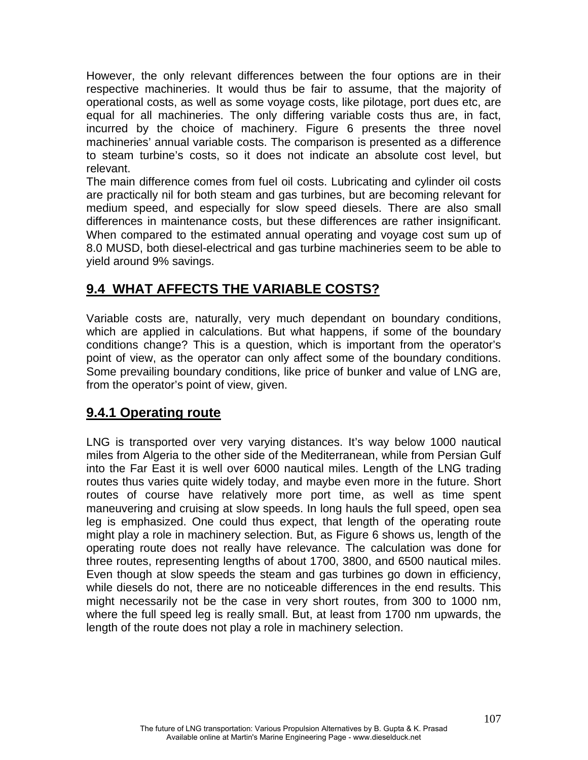However, the only relevant differences between the four options are in their respective machineries. It would thus be fair to assume, that the majority of operational costs, as well as some voyage costs, like pilotage, port dues etc, are equal for all machineries. The only differing variable costs thus are, in fact, incurred by the choice of machinery. Figure 6 presents the three novel machineries' annual variable costs. The comparison is presented as a difference to steam turbine's costs, so it does not indicate an absolute cost level, but relevant.

The main difference comes from fuel oil costs. Lubricating and cylinder oil costs are practically nil for both steam and gas turbines, but are becoming relevant for medium speed, and especially for slow speed diesels. There are also small differences in maintenance costs, but these differences are rather insignificant. When compared to the estimated annual operating and voyage cost sum up of 8.0 MUSD, both diesel-electrical and gas turbine machineries seem to be able to yield around 9% savings.

# **9.4 WHAT AFFECTS THE VARIABLE COSTS?**

Variable costs are, naturally, very much dependant on boundary conditions, which are applied in calculations. But what happens, if some of the boundary conditions change? This is a question, which is important from the operator's point of view, as the operator can only affect some of the boundary conditions. Some prevailing boundary conditions, like price of bunker and value of LNG are, from the operator's point of view, given.

# **9.4.1 Operating route**

LNG is transported over very varying distances. It's way below 1000 nautical miles from Algeria to the other side of the Mediterranean, while from Persian Gulf into the Far East it is well over 6000 nautical miles. Length of the LNG trading routes thus varies quite widely today, and maybe even more in the future. Short routes of course have relatively more port time, as well as time spent maneuvering and cruising at slow speeds. In long hauls the full speed, open sea leg is emphasized. One could thus expect, that length of the operating route might play a role in machinery selection. But, as Figure 6 shows us, length of the operating route does not really have relevance. The calculation was done for three routes, representing lengths of about 1700, 3800, and 6500 nautical miles. Even though at slow speeds the steam and gas turbines go down in efficiency, while diesels do not, there are no noticeable differences in the end results. This might necessarily not be the case in very short routes, from 300 to 1000 nm, where the full speed leg is really small. But, at least from 1700 nm upwards, the length of the route does not play a role in machinery selection.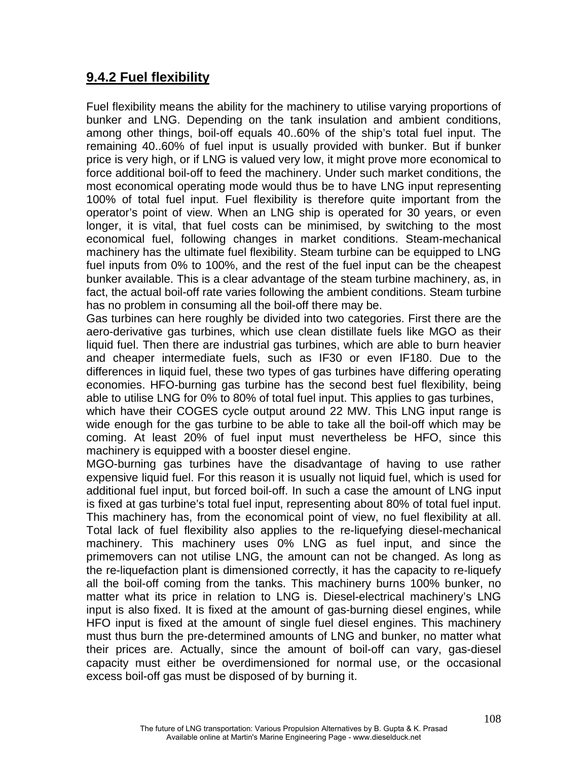### **9.4.2 Fuel flexibility**

Fuel flexibility means the ability for the machinery to utilise varying proportions of bunker and LNG. Depending on the tank insulation and ambient conditions, among other things, boil-off equals 40..60% of the ship's total fuel input. The remaining 40..60% of fuel input is usually provided with bunker. But if bunker price is very high, or if LNG is valued very low, it might prove more economical to force additional boil-off to feed the machinery. Under such market conditions, the most economical operating mode would thus be to have LNG input representing 100% of total fuel input. Fuel flexibility is therefore quite important from the operator's point of view. When an LNG ship is operated for 30 years, or even longer, it is vital, that fuel costs can be minimised, by switching to the most economical fuel, following changes in market conditions. Steam-mechanical machinery has the ultimate fuel flexibility. Steam turbine can be equipped to LNG fuel inputs from 0% to 100%, and the rest of the fuel input can be the cheapest bunker available. This is a clear advantage of the steam turbine machinery, as, in fact, the actual boil-off rate varies following the ambient conditions. Steam turbine has no problem in consuming all the boil-off there may be.

Gas turbines can here roughly be divided into two categories. First there are the aero-derivative gas turbines, which use clean distillate fuels like MGO as their liquid fuel. Then there are industrial gas turbines, which are able to burn heavier and cheaper intermediate fuels, such as IF30 or even IF180. Due to the differences in liquid fuel, these two types of gas turbines have differing operating economies. HFO-burning gas turbine has the second best fuel flexibility, being able to utilise LNG for 0% to 80% of total fuel input. This applies to gas turbines,

which have their COGES cycle output around 22 MW. This LNG input range is wide enough for the gas turbine to be able to take all the boil-off which may be coming. At least 20% of fuel input must nevertheless be HFO, since this machinery is equipped with a booster diesel engine.

MGO-burning gas turbines have the disadvantage of having to use rather expensive liquid fuel. For this reason it is usually not liquid fuel, which is used for additional fuel input, but forced boil-off. In such a case the amount of LNG input is fixed at gas turbine's total fuel input, representing about 80% of total fuel input. This machinery has, from the economical point of view, no fuel flexibility at all. Total lack of fuel flexibility also applies to the re-liquefying diesel-mechanical machinery. This machinery uses 0% LNG as fuel input, and since the primemovers can not utilise LNG, the amount can not be changed. As long as the re-liquefaction plant is dimensioned correctly, it has the capacity to re-liquefy all the boil-off coming from the tanks. This machinery burns 100% bunker, no matter what its price in relation to LNG is. Diesel-electrical machinery's LNG input is also fixed. It is fixed at the amount of gas-burning diesel engines, while HFO input is fixed at the amount of single fuel diesel engines. This machinery must thus burn the pre-determined amounts of LNG and bunker, no matter what their prices are. Actually, since the amount of boil-off can vary, gas-diesel capacity must either be overdimensioned for normal use, or the occasional excess boil-off gas must be disposed of by burning it.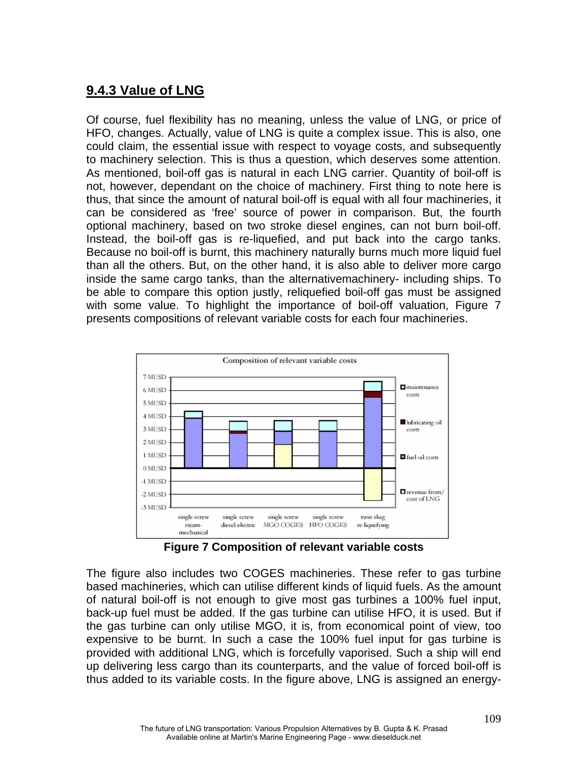## **9.4.3 Value of LNG**

Of course, fuel flexibility has no meaning, unless the value of LNG, or price of HFO, changes. Actually, value of LNG is quite a complex issue. This is also, one could claim, the essential issue with respect to voyage costs, and subsequently to machinery selection. This is thus a question, which deserves some attention. As mentioned, boil-off gas is natural in each LNG carrier. Quantity of boil-off is not, however, dependant on the choice of machinery. First thing to note here is thus, that since the amount of natural boil-off is equal with all four machineries, it can be considered as 'free' source of power in comparison. But, the fourth optional machinery, based on two stroke diesel engines, can not burn boil-off. Instead, the boil-off gas is re-liquefied, and put back into the cargo tanks. Because no boil-off is burnt, this machinery naturally burns much more liquid fuel than all the others. But, on the other hand, it is also able to deliver more cargo inside the same cargo tanks, than the alternativemachinery- including ships. To be able to compare this option justly, reliquefied boil-off gas must be assigned with some value. To highlight the importance of boil-off valuation, Figure 7 presents compositions of relevant variable costs for each four machineries.



**Figure 7 Composition of relevant variable costs**

The figure also includes two COGES machineries. These refer to gas turbine based machineries, which can utilise different kinds of liquid fuels. As the amount of natural boil-off is not enough to give most gas turbines a 100% fuel input, back-up fuel must be added. If the gas turbine can utilise HFO, it is used. But if the gas turbine can only utilise MGO, it is, from economical point of view, too expensive to be burnt. In such a case the 100% fuel input for gas turbine is provided with additional LNG, which is forcefully vaporised. Such a ship will end up delivering less cargo than its counterparts, and the value of forced boil-off is thus added to its variable costs. In the figure above, LNG is assigned an energy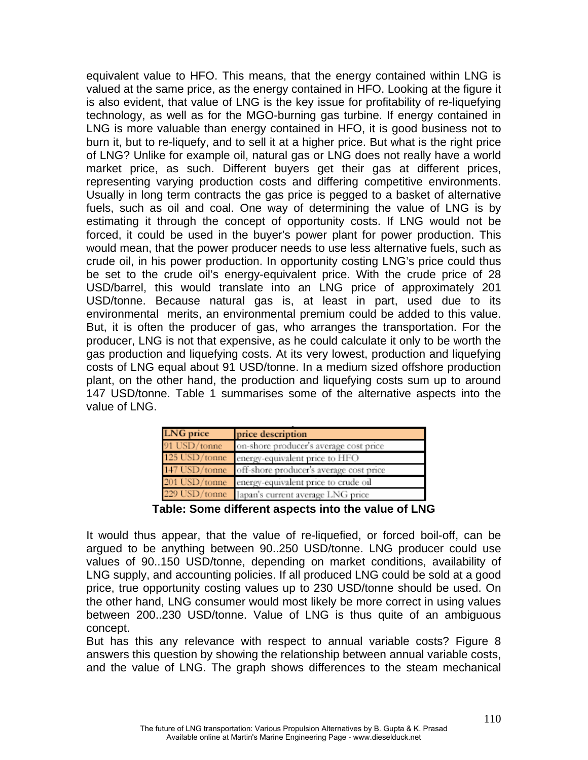equivalent value to HFO. This means, that the energy contained within LNG is valued at the same price, as the energy contained in HFO. Looking at the figure it is also evident, that value of LNG is the key issue for profitability of re-liquefying technology, as well as for the MGO-burning gas turbine. If energy contained in LNG is more valuable than energy contained in HFO, it is good business not to burn it, but to re-liquefy, and to sell it at a higher price. But what is the right price of LNG? Unlike for example oil, natural gas or LNG does not really have a world market price, as such. Different buyers get their gas at different prices, representing varying production costs and differing competitive environments. Usually in long term contracts the gas price is pegged to a basket of alternative fuels, such as oil and coal. One way of determining the value of LNG is by estimating it through the concept of opportunity costs. If LNG would not be forced, it could be used in the buyer's power plant for power production. This would mean, that the power producer needs to use less alternative fuels, such as crude oil, in his power production. In opportunity costing LNG's price could thus be set to the crude oil's energy-equivalent price. With the crude price of 28 USD/barrel, this would translate into an LNG price of approximately 201 USD/tonne. Because natural gas is, at least in part, used due to its environmental merits, an environmental premium could be added to this value. But, it is often the producer of gas, who arranges the transportation. For the producer, LNG is not that expensive, as he could calculate it only to be worth the gas production and liquefying costs. At its very lowest, production and liquefying costs of LNG equal about 91 USD/tonne. In a medium sized offshore production plant, on the other hand, the production and liquefying costs sum up to around 147 USD/tonne. Table 1 summarises some of the alternative aspects into the value of LNG.

| <b>LNG</b> price | price description                                     |
|------------------|-------------------------------------------------------|
| 91 USD/tonne     | on-shore producer's average cost price                |
| $125$ USD/tonne  | energy-equivalent price to HFO                        |
|                  | 147 USD/tonne off-shore producer's average cost price |
|                  | 201 USD/tonne energy-equivalent price to crude oil    |
|                  | 229 USD/tonne Japan's current average LNG price       |

**Table: Some different aspects into the value of LNG**

It would thus appear, that the value of re-liquefied, or forced boil-off, can be argued to be anything between 90..250 USD/tonne. LNG producer could use values of 90..150 USD/tonne, depending on market conditions, availability of LNG supply, and accounting policies. If all produced LNG could be sold at a good price, true opportunity costing values up to 230 USD/tonne should be used. On the other hand, LNG consumer would most likely be more correct in using values between 200..230 USD/tonne. Value of LNG is thus quite of an ambiguous concept.

But has this any relevance with respect to annual variable costs? Figure 8 answers this question by showing the relationship between annual variable costs, and the value of LNG. The graph shows differences to the steam mechanical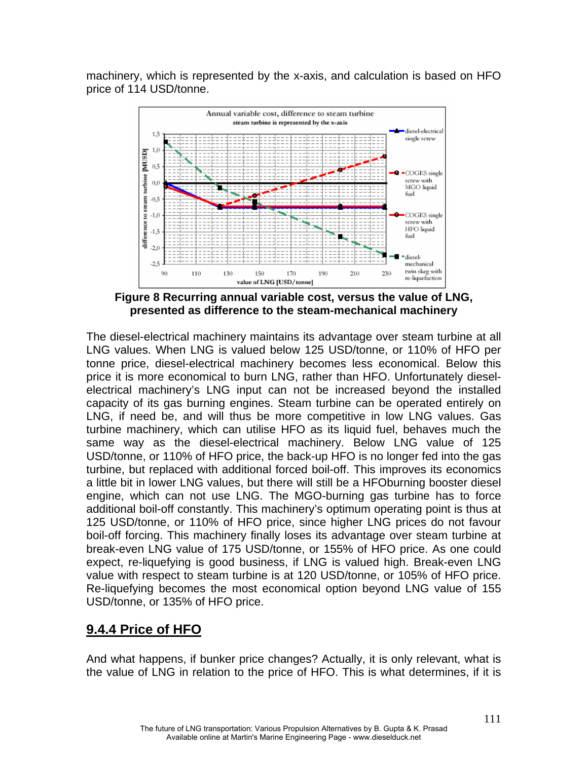machinery, which is represented by the x-axis, and calculation is based on HFO price of 114 USD/tonne.



**Figure 8 Recurring annual variable cost, versus the value of LNG, presented as difference to the steam-mechanical machinery** 

The diesel-electrical machinery maintains its advantage over steam turbine at all LNG values. When LNG is valued below 125 USD/tonne, or 110% of HFO per tonne price, diesel-electrical machinery becomes less economical. Below this price it is more economical to burn LNG, rather than HFO. Unfortunately dieselelectrical machinery's LNG input can not be increased beyond the installed capacity of its gas burning engines. Steam turbine can be operated entirely on LNG, if need be, and will thus be more competitive in low LNG values. Gas turbine machinery, which can utilise HFO as its liquid fuel, behaves much the same way as the diesel-electrical machinery. Below LNG value of 125 USD/tonne, or 110% of HFO price, the back-up HFO is no longer fed into the gas turbine, but replaced with additional forced boil-off. This improves its economics a little bit in lower LNG values, but there will still be a HFOburning booster diesel engine, which can not use LNG. The MGO-burning gas turbine has to force additional boil-off constantly. This machinery's optimum operating point is thus at 125 USD/tonne, or 110% of HFO price, since higher LNG prices do not favour boil-off forcing. This machinery finally loses its advantage over steam turbine at break-even LNG value of 175 USD/tonne, or 155% of HFO price. As one could expect, re-liquefying is good business, if LNG is valued high. Break-even LNG value with respect to steam turbine is at 120 USD/tonne, or 105% of HFO price. Re-liquefying becomes the most economical option beyond LNG value of 155 USD/tonne, or 135% of HFO price.

# **9.4.4 Price of HFO**

And what happens, if bunker price changes? Actually, it is only relevant, what is the value of LNG in relation to the price of HFO. This is what determines, if it is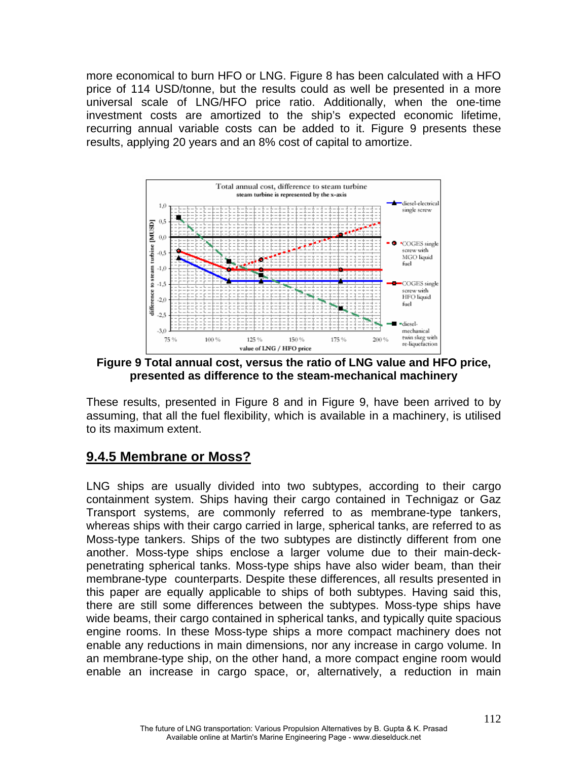more economical to burn HFO or LNG. Figure 8 has been calculated with a HFO price of 114 USD/tonne, but the results could as well be presented in a more universal scale of LNG/HFO price ratio. Additionally, when the one-time investment costs are amortized to the ship's expected economic lifetime, recurring annual variable costs can be added to it. Figure 9 presents these results, applying 20 years and an 8% cost of capital to amortize.



**Figure 9 Total annual cost, versus the ratio of LNG value and HFO price, presented as difference to the steam-mechanical machinery** 

These results, presented in Figure 8 and in Figure 9, have been arrived to by assuming, that all the fuel flexibility, which is available in a machinery, is utilised to its maximum extent.

### **9.4.5 Membrane or Moss?**

LNG ships are usually divided into two subtypes, according to their cargo containment system. Ships having their cargo contained in Technigaz or Gaz Transport systems, are commonly referred to as membrane-type tankers, whereas ships with their cargo carried in large, spherical tanks, are referred to as Moss-type tankers. Ships of the two subtypes are distinctly different from one another. Moss-type ships enclose a larger volume due to their main-deckpenetrating spherical tanks. Moss-type ships have also wider beam, than their membrane-type counterparts. Despite these differences, all results presented in this paper are equally applicable to ships of both subtypes. Having said this, there are still some differences between the subtypes. Moss-type ships have wide beams, their cargo contained in spherical tanks, and typically quite spacious engine rooms. In these Moss-type ships a more compact machinery does not enable any reductions in main dimensions, nor any increase in cargo volume. In an membrane-type ship, on the other hand, a more compact engine room would enable an increase in cargo space, or, alternatively, a reduction in main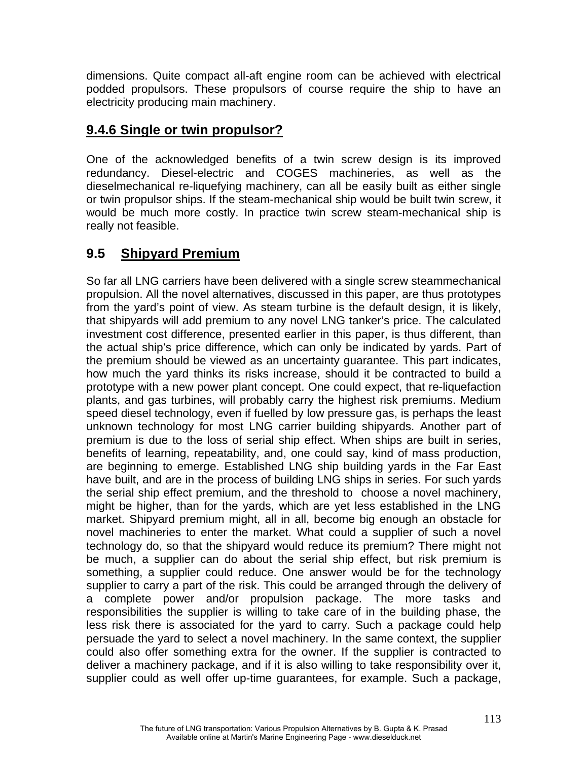dimensions. Quite compact all-aft engine room can be achieved with electrical podded propulsors. These propulsors of course require the ship to have an electricity producing main machinery.

# **9.4.6 Single or twin propulsor?**

One of the acknowledged benefits of a twin screw design is its improved redundancy. Diesel-electric and COGES machineries, as well as the dieselmechanical re-liquefying machinery, can all be easily built as either single or twin propulsor ships. If the steam-mechanical ship would be built twin screw, it would be much more costly. In practice twin screw steam-mechanical ship is really not feasible.

# **9.5 Shipyard Premium**

So far all LNG carriers have been delivered with a single screw steammechanical propulsion. All the novel alternatives, discussed in this paper, are thus prototypes from the yard's point of view. As steam turbine is the default design, it is likely, that shipyards will add premium to any novel LNG tanker's price. The calculated investment cost difference, presented earlier in this paper, is thus different, than the actual ship's price difference, which can only be indicated by yards. Part of the premium should be viewed as an uncertainty guarantee. This part indicates, how much the yard thinks its risks increase, should it be contracted to build a prototype with a new power plant concept. One could expect, that re-liquefaction plants, and gas turbines, will probably carry the highest risk premiums. Medium speed diesel technology, even if fuelled by low pressure gas, is perhaps the least unknown technology for most LNG carrier building shipyards. Another part of premium is due to the loss of serial ship effect. When ships are built in series, benefits of learning, repeatability, and, one could say, kind of mass production, are beginning to emerge. Established LNG ship building yards in the Far East have built, and are in the process of building LNG ships in series. For such yards the serial ship effect premium, and the threshold to choose a novel machinery, might be higher, than for the yards, which are yet less established in the LNG market. Shipyard premium might, all in all, become big enough an obstacle for novel machineries to enter the market. What could a supplier of such a novel technology do, so that the shipyard would reduce its premium? There might not be much, a supplier can do about the serial ship effect, but risk premium is something, a supplier could reduce. One answer would be for the technology supplier to carry a part of the risk. This could be arranged through the delivery of a complete power and/or propulsion package. The more tasks and responsibilities the supplier is willing to take care of in the building phase, the less risk there is associated for the yard to carry. Such a package could help persuade the yard to select a novel machinery. In the same context, the supplier could also offer something extra for the owner. If the supplier is contracted to deliver a machinery package, and if it is also willing to take responsibility over it, supplier could as well offer up-time guarantees, for example. Such a package,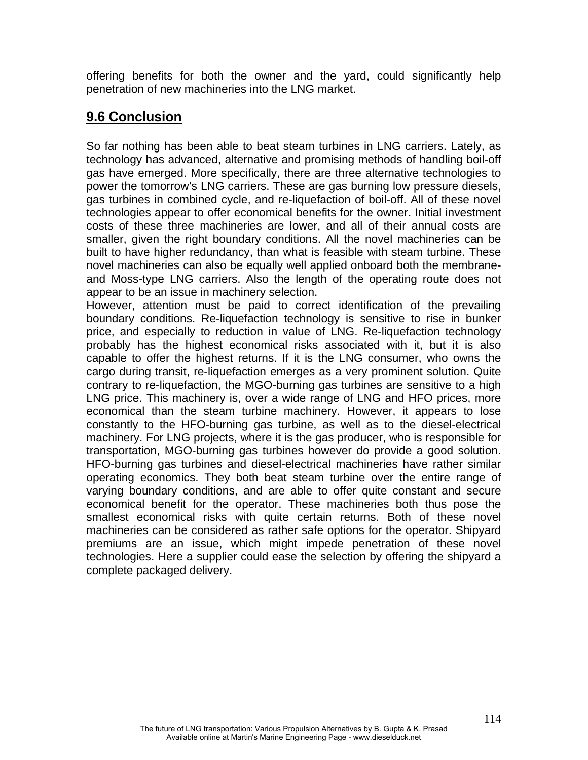offering benefits for both the owner and the yard, could significantly help penetration of new machineries into the LNG market.

### **9.6 Conclusion**

So far nothing has been able to beat steam turbines in LNG carriers. Lately, as technology has advanced, alternative and promising methods of handling boil-off gas have emerged. More specifically, there are three alternative technologies to power the tomorrow's LNG carriers. These are gas burning low pressure diesels, gas turbines in combined cycle, and re-liquefaction of boil-off. All of these novel technologies appear to offer economical benefits for the owner. Initial investment costs of these three machineries are lower, and all of their annual costs are smaller, given the right boundary conditions. All the novel machineries can be built to have higher redundancy, than what is feasible with steam turbine. These novel machineries can also be equally well applied onboard both the membraneand Moss-type LNG carriers. Also the length of the operating route does not appear to be an issue in machinery selection.

However, attention must be paid to correct identification of the prevailing boundary conditions. Re-liquefaction technology is sensitive to rise in bunker price, and especially to reduction in value of LNG. Re-liquefaction technology probably has the highest economical risks associated with it, but it is also capable to offer the highest returns. If it is the LNG consumer, who owns the cargo during transit, re-liquefaction emerges as a very prominent solution. Quite contrary to re-liquefaction, the MGO-burning gas turbines are sensitive to a high LNG price. This machinery is, over a wide range of LNG and HFO prices, more economical than the steam turbine machinery. However, it appears to lose constantly to the HFO-burning gas turbine, as well as to the diesel-electrical machinery. For LNG projects, where it is the gas producer, who is responsible for transportation, MGO-burning gas turbines however do provide a good solution. HFO-burning gas turbines and diesel-electrical machineries have rather similar operating economics. They both beat steam turbine over the entire range of varying boundary conditions, and are able to offer quite constant and secure economical benefit for the operator. These machineries both thus pose the smallest economical risks with quite certain returns. Both of these novel machineries can be considered as rather safe options for the operator. Shipyard premiums are an issue, which might impede penetration of these novel technologies. Here a supplier could ease the selection by offering the shipyard a complete packaged delivery.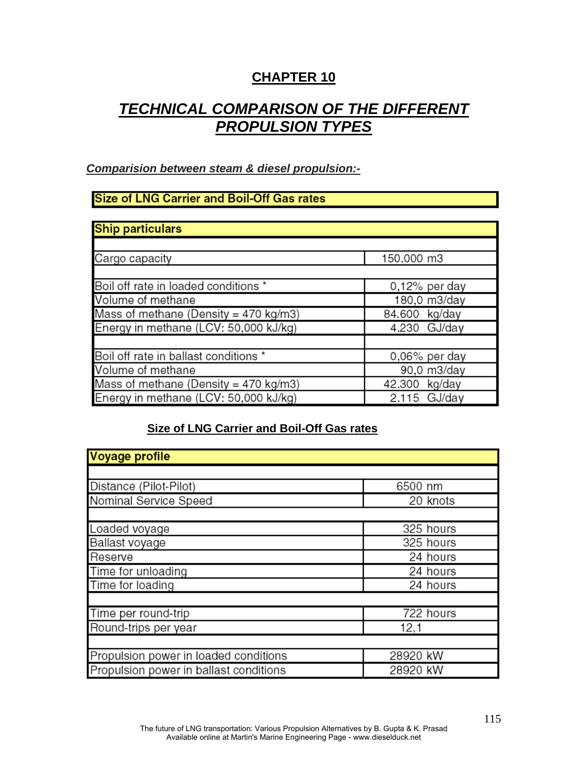## **CHAPTER 10**

# *TECHNICAL COMPARISON OF THE DIFFERENT PROPULSION TYPES*

### *Comparision between steam & diesel propulsion:-*

### **Size of LNG Carrier and Boil-Off Gas rates**

| <b>Ship particulars</b>                  |                  |
|------------------------------------------|------------------|
|                                          |                  |
| Cargo capacity                           | 150.000 m3       |
|                                          |                  |
| Boil off rate in loaded conditions *     | $0,12\%$ per day |
| Volume of methane                        | 180,0 m3/day     |
| Mass of methane (Density = 470 $kg/m3$ ) | 84.600 kg/day    |
| Energy in methane (LCV: 50,000 kJ/kg)    | 4.230 GJ/day     |
|                                          |                  |
| Boil off rate in ballast conditions *    | 0,06% per day    |
| Volume of methane                        | 90,0 m3/day      |
| Mass of methane (Density = 470 $kg/m3$ ) | 42.300 kg/day    |
| Energy in methane (LCV: 50,000 kJ/kg)    | $2.115$ GJ/day   |

### **Size of LNG Carrier and Boil-Off Gas rates**

| Voyage profile                         |           |
|----------------------------------------|-----------|
|                                        |           |
| Distance (Pilot-Pilot)                 | 6500 nm   |
| Nominal Service Speed                  | 20 knots  |
|                                        |           |
| Loaded voyage                          | 325 hours |
| Ballast voyage                         | 325 hours |
| Reserve                                | 24 hours  |
| Time for unloading                     | 24 hours  |
| Time for loading                       | 24 hours  |
|                                        |           |
| Time per round-trip                    | 722 hours |
| Round-trips per year                   | 12,1      |
|                                        |           |
| Propulsion power in loaded conditions  | 28920 kW  |
| Propulsion power in ballast conditions | 28920 kW  |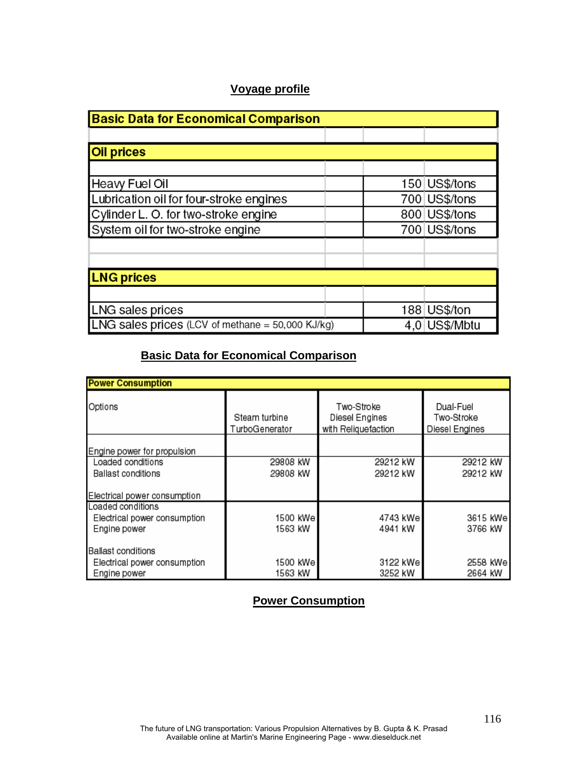### **Voyage profile**

| <b>Basic Data for Economical Comparison</b>        |  |               |  |
|----------------------------------------------------|--|---------------|--|
|                                                    |  |               |  |
| <b>Oil prices</b>                                  |  |               |  |
|                                                    |  |               |  |
| <b>Heavy Fuel Oil</b>                              |  | 150 US\$/tons |  |
| Lubrication oil for four-stroke engines            |  | 700 US\$/tons |  |
| Cylinder L. O. for two-stroke engine               |  | 800 US\$/tons |  |
| System oil for two-stroke engine                   |  | 700 US\$/tons |  |
|                                                    |  |               |  |
|                                                    |  |               |  |
| <b>LNG prices</b>                                  |  |               |  |
|                                                    |  |               |  |
| LNG sales prices                                   |  | 188 US\$/ton  |  |
| LNG sales prices (LCV of methane = $50,000$ KJ/kg) |  | 4,0 US\$/Mbtu |  |

### **Basic Data for Economical Comparison**

| <b>Power Consumption</b>     |                                 |                                                     |                                           |  |
|------------------------------|---------------------------------|-----------------------------------------------------|-------------------------------------------|--|
| Options                      | Steam turbine<br>TurboGenerator | Two-Stroke<br>Diesel Engines<br>with Reliquefaction | Dual-Fuel<br>Two-Stroke<br>Diesel Engines |  |
| Engine power for propulsion  |                                 |                                                     |                                           |  |
| Loaded conditions            | 29808 kW                        | 29212 kW                                            | 29212 kW                                  |  |
| Ballast conditions           | 29808 kW                        | 29212 kW                                            | 29212 kW                                  |  |
| Electrical power consumption |                                 |                                                     |                                           |  |
| Loaded conditions            |                                 |                                                     |                                           |  |
| Electrical power consumption | 1500 kWe                        | 4743 kWel                                           | 3615 kWel                                 |  |
| Engine power                 | 1563 kW                         | 4941 kW                                             | 3766 kW                                   |  |
| Ballast conditions           |                                 |                                                     |                                           |  |
| Electrical power consumption | 1500 kWe                        | 3122 kWel                                           | 2558 kWel                                 |  |
| Engine power                 | 1563 kW                         | 3252 kW                                             | 2664 kW                                   |  |

### **Power Consumption**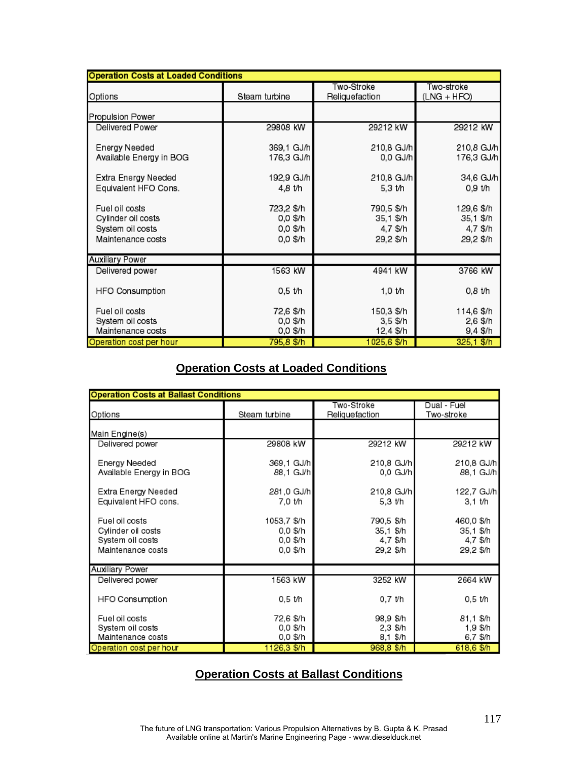| <b>Operation Costs at Loaded Conditions</b>                                   |                                                |                                                  |                                                  |  |
|-------------------------------------------------------------------------------|------------------------------------------------|--------------------------------------------------|--------------------------------------------------|--|
| Options                                                                       | Steam turbine                                  | Two-Stroke<br>Reliquefaction                     | Two-stroke<br>(LNG + HFO)                        |  |
| Propulsion Power                                                              |                                                |                                                  |                                                  |  |
| Delivered Power                                                               | 29808 kW                                       | 29212 kW                                         | 29212 kW                                         |  |
| Energy Needed<br>Available Energy in BOG                                      | 369,1 GJ/h<br>176,3 GJ/h                       | 210,8 GJ/h<br>0.0 GJ/h                           | 210,8 GJ/h<br>176,3 GJ/h                         |  |
| Extra Energy Needed                                                           | 192,9 GJ/h                                     | 210,8 GJ/h                                       | 34,6 GJ/h                                        |  |
| Equivalent HFO Cons.                                                          | 4.8 t/h                                        | 5,3 t/h                                          | 0.9 t/h                                          |  |
| Fuel oil costs<br>Cylinder oil costs<br>System oil costs<br>Maintenance costs | 723,2 \$/h<br>0,0 \$/h<br>0,0 \$/h<br>0.0 \$/h | 790,5 \$/h<br>35,1 \$/h<br>4,7 \$/h<br>29,2 \$/h | 129,6 \$/h<br>35,1 \$/h<br>4,7 \$/h<br>29,2 \$/h |  |
| <b>Auxiliary Power</b>                                                        |                                                |                                                  |                                                  |  |
| Delivered power                                                               | 1563 kW                                        | 4941 kW                                          | 3766 kW                                          |  |
| <b>HFO Consumption</b>                                                        | 0,5 t/h                                        | 1,0 t/h                                          | 0,8 t/h                                          |  |
| Fuel oil costs                                                                | 72,6 \$/h                                      | 150,3 \$/h                                       | 114,6 \$/h                                       |  |
| System oil costs                                                              | 0,0 \$/h                                       | 3,5 \$/h                                         | 2,6 \$/h                                         |  |
| Maintenance costs                                                             | 0,0 \$/h                                       | 12,4 \$/h                                        | 9,4 \$/h                                         |  |
| Operation cost per hour                                                       | 795,8 \$/h                                     | 1025,6 \$/h                                      | 325,1 \$/h                                       |  |

### **Operation Costs at Loaded Conditions**

| <b>Operation Costs at Ballast Conditions</b>                                  |                                                 |                                                  |                                                  |  |
|-------------------------------------------------------------------------------|-------------------------------------------------|--------------------------------------------------|--------------------------------------------------|--|
| Options                                                                       | Steam turbine                                   | Two-Stroke<br>Reliquefaction                     | Dual - Fuel<br>Two-stroke                        |  |
| Main Engine(s)                                                                |                                                 |                                                  |                                                  |  |
| Delivered power                                                               | 29808 kW                                        | 29212 kW                                         | 29212 kW                                         |  |
| Energy Needed<br>Available Energy in BOG                                      | 369.1 GJ/h<br>88.1 GJ/h                         | 210,8 GJ/h<br>0.0 GJ/h                           | 210,8 GJ/h<br>88,1 GJ/h                          |  |
| Extra Energy Needed<br>Equivalent HFO cons.                                   | 281,0 GJ/h<br>7.0 t/h                           | 210,8 GJ/h<br>5.3 t/h                            | 122,7 GJ/h<br>3.1 t/h                            |  |
| Fuel oil costs<br>Cylinder oil costs<br>System oil costs<br>Maintenance costs | 1053,7 \$/h<br>0.0 \$/h<br>0.0 \$/h<br>0.0 \$/h | 790,5 \$/h<br>35.1 \$/h<br>4.7 \$/h<br>29.2 \$/h | 460,0 \$/h<br>35,1 \$/h<br>4,7 \$/h<br>29,2 \$/h |  |
| <b>Auxiliary Power</b>                                                        |                                                 |                                                  |                                                  |  |
| Delivered power                                                               | 1563 kW                                         | 3252 kW                                          | 2664 kW                                          |  |
| HFO Consumption                                                               | 0,5 t/h                                         | 0.7 t/h                                          | 0,5 t/h                                          |  |
| Fuel oil costs<br>System oil costs<br>Maintenance costs                       | 72,6 \$/h<br>0.0 \$/h<br>0.0 \$/h               | 98.9 \$/h<br>2.3 \$/h<br>8.1 \$/h                | 81.1 \$/h<br>1.9 \$/h<br>6,7 \$/h                |  |
| Operation cost per hour                                                       | 1126,3 \$/h                                     | 968,8 \$/h                                       | 618,6 \$/h                                       |  |

### **Operation Costs at Ballast Conditions**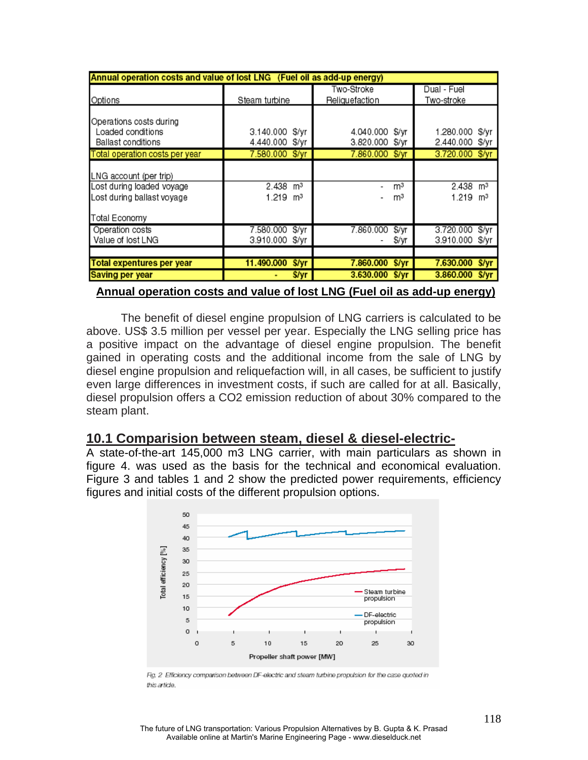| Annual operation costs and value of lost LNG (Fuel oil as add-up energy)                           |                                                  |                                          |                                                  |  |  |
|----------------------------------------------------------------------------------------------------|--------------------------------------------------|------------------------------------------|--------------------------------------------------|--|--|
|                                                                                                    |                                                  | Two-Stroke                               | Dual - Fuel                                      |  |  |
| Options                                                                                            | Steam turbine                                    | Reliquefaction                           | Two-stroke                                       |  |  |
| Operations costs during<br>Loaded conditions<br><b>Ballast conditions</b>                          | 3.140.000 \$/vr<br>4.440.000 \$/yr               | 4.040.000<br>\$/vr<br>3.820.000<br>\$/yr | 1.280.000 \$/yr<br>2.440.000 \$/yr               |  |  |
| Total operation costs per year                                                                     | 7.580.000 \$/yr                                  | 7.860.000<br>\$/vr                       | 3.720.000 \$/yr                                  |  |  |
| LNG account (per trip)<br>Lost during loaded voyage<br>Lost during ballast voyage<br>Total Economy | $2.438$ m <sup>3</sup><br>$1.219$ m <sup>3</sup> | m <sup>3</sup><br>m <sup>3</sup>         | $2.438$ m <sup>3</sup><br>$1.219$ m <sup>3</sup> |  |  |
| Operation costs<br>Value of lost LNG                                                               | \$/yr<br>7.580.000<br>3.910.000 \$/yr            | 7.860.000<br>\$/yr<br>\$/yr              | 3.720.000<br>\$/yr<br>3.910.000 \$/yr            |  |  |
| Total expentures per year                                                                          | 11.490.000<br>S/yr                               | 7.860.000<br>\$/yr                       | 7.630.000 \$/yr                                  |  |  |
| Saving per year                                                                                    | \$/yr                                            | 3.630.000<br>S/yr                        | 3,860,000<br><b>S/vr</b>                         |  |  |

 **Annual operation costs and value of lost LNG (Fuel oil as add-up energy)**

The benefit of diesel engine propulsion of LNG carriers is calculated to be above. US\$ 3.5 million per vessel per year. Especially the LNG selling price has a positive impact on the advantage of diesel engine propulsion. The benefit gained in operating costs and the additional income from the sale of LNG by diesel engine propulsion and reliquefaction will, in all cases, be sufficient to justify even large differences in investment costs, if such are called for at all. Basically, diesel propulsion offers a CO2 emission reduction of about 30% compared to the steam plant.

### **10.1 Comparision between steam, diesel & diesel-electric-**

A state-of-the-art 145,000 m3 LNG carrier, with main particulars as shown in figure 4. was used as the basis for the technical and economical evaluation. Figure 3 and tables 1 and 2 show the predicted power requirements, efficiency figures and initial costs of the different propulsion options.



Fig. 2 Efficiency comparison between DF-electric and steam turbine propulsion for the case quoted in this article.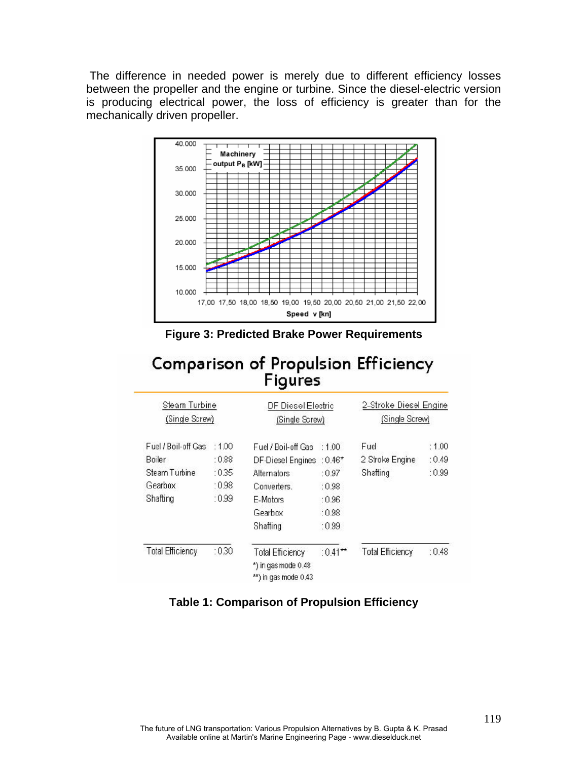The difference in needed power is merely due to different efficiency losses between the propeller and the engine or turbine. Since the diesel-electric version is producing electrical power, the loss of efficiency is greater than for the mechanically driven propeller.



**Figure 3: Predicted Brake Power Requirements** 

# **Comparison of Propulsion Efficiency** Figures

| Steam Turbine<br>(Single Screw) |       | DF Diesel Electric<br>(Single Screw)                                   |            | 2-Stroke Diesel Engine<br>(Single Screw) |       |
|---------------------------------|-------|------------------------------------------------------------------------|------------|------------------------------------------|-------|
| Fuel / Boil-off Gas             | :1.00 | Fuel / Boil-off Gas                                                    | :100       | Fuel                                     | :1.00 |
| Boiler                          | :0.88 | DF-Diesel Engines : 0.46*                                              |            | 2 Stroke Engine                          | :0.49 |
| Steam Turbine                   | :0.35 | Alternators                                                            | :0.97      | Shafting                                 | :0.99 |
| Gearbox                         | :0.98 | Converters.                                                            | :0.98      |                                          |       |
| Shafting                        | :0.99 | E-Motors                                                               | :0.96      |                                          |       |
|                                 |       | Gearbox                                                                | :0.98      |                                          |       |
|                                 |       | Shafting                                                               | :0.99      |                                          |       |
| <b>Total Efficiency</b>         | :030  | <b>Total Efficiency</b><br>*) in gas mode 0.48<br>**) in gas mode 0.43 | $:0.41***$ | <b>Total Efficiency</b>                  | :0.48 |

### **Table 1: Comparison of Propulsion Efficiency**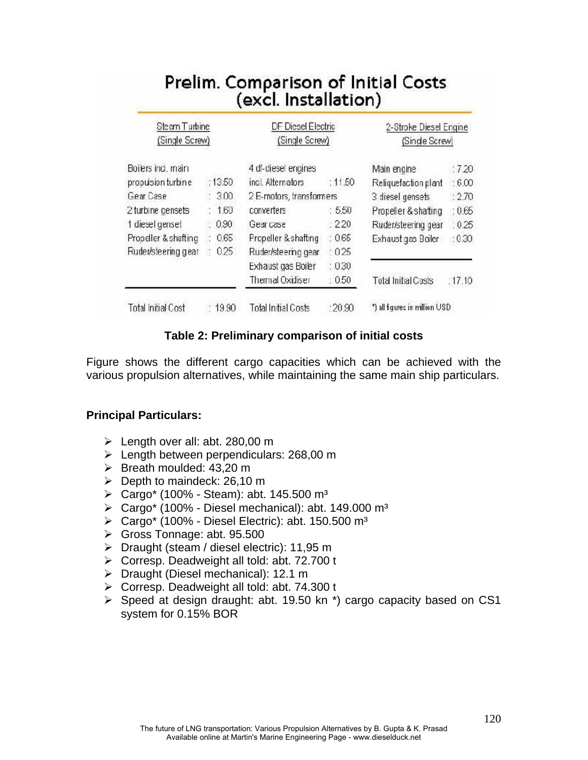| Steam Turbine        |           | DF Diesel Electric       |         | 2-Stroke Diesel Engine     |        |
|----------------------|-----------|--------------------------|---------|----------------------------|--------|
| (Single Screw)       |           | (Single Screw)           |         | (Single Screw)             |        |
| Boilers ind, main    |           | 4 df-diesel engines      |         | Main engine                | :7.20  |
| propulsion turbine   | :13.50    | incl. Alternators        | : 11.50 | Reliquefaction plant       | :6.00  |
| Gear Case            | 300       | 2 E-motors, transformers |         | 3 diesel gensets           | :2.70  |
| 2 turbine gensets    | 1.60      | converters               | :5.50   | Propeller & shatting       | :0.65  |
| 1 diesel genset      | 0.90      | Gear case                | :220    | Ruder/steering gear        | :0.25  |
| Propeller & shafting | 0.65      | Propeller & shafting     | :0.65   | Exhaust gas Boiler         | :0.30  |
| Ruder/steering gear  | 0.25<br>t | Ruder/steering gear      | : 0.25  |                            |        |
|                      |           | Exhaust gas Boiler       | :0.30   |                            |        |
|                      |           | Thermal Oxidiser         | : 0.50  | <b>Total Initial Costs</b> | :17.10 |

### **Table 2: Preliminary comparison of initial costs**

Figure shows the different cargo capacities which can be achieved with the various propulsion alternatives, while maintaining the same main ship particulars.

#### **Principal Particulars:**

- $\blacktriangleright$  Length over all: abt. 280,00 m
- $\blacktriangleright$  Length between perpendiculars: 268,00 m
- $\triangleright$  Breath moulded: 43.20 m
- ¾ Depth to maindeck: 26,10 m
- ¾ Cargo\* (100% Steam): abt. 145.500 m³
- $\triangleright$  Cargo\* (100% Diesel mechanical): abt. 149.000 m<sup>3</sup>
- $\triangleright$  Cargo\* (100% Diesel Electric): abt. 150.500 m<sup>3</sup>
- ¾ Gross Tonnage: abt. 95.500
- ¾ Draught (steam / diesel electric): 11,95 m
- ¾ Corresp. Deadweight all told: abt. 72.700 t
- ¾ Draught (Diesel mechanical): 12.1 m
- ¾ Corresp. Deadweight all told: abt. 74.300 t
- $\triangleright$  Speed at design draught: abt. 19.50 kn<sup>\*</sup>) cargo capacity based on CS1 system for 0.15% BOR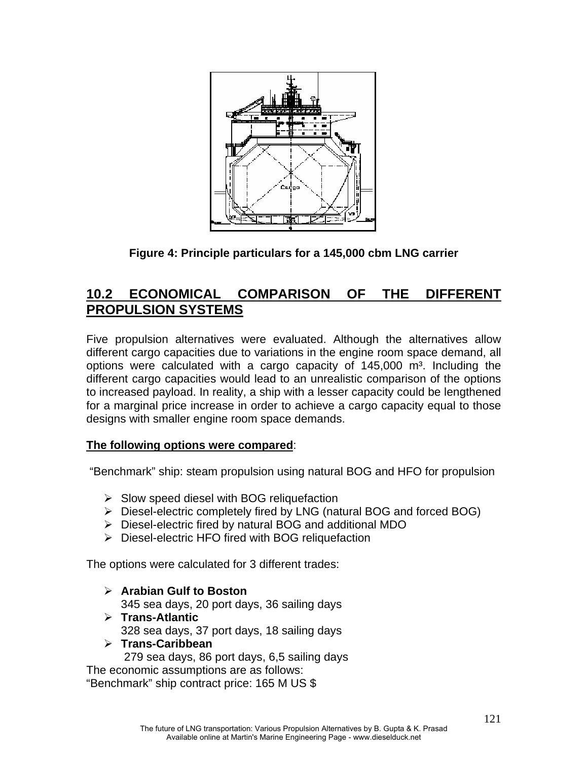

**Figure 4: Principle particulars for a 145,000 cbm LNG carrier**

# **10.2 ECONOMICAL COMPARISON OF THE DIFFERENT PROPULSION SYSTEMS**

Five propulsion alternatives were evaluated. Although the alternatives allow different cargo capacities due to variations in the engine room space demand, all options were calculated with a cargo capacity of  $145,000$  m<sup>3</sup>. Including the different cargo capacities would lead to an unrealistic comparison of the options to increased payload. In reality, a ship with a lesser capacity could be lengthened for a marginal price increase in order to achieve a cargo capacity equal to those designs with smaller engine room space demands.

### **The following options were compared**:

"Benchmark" ship: steam propulsion using natural BOG and HFO for propulsion

- $\triangleright$  Slow speed diesel with BOG reliquefaction
- ¾ Diesel-electric completely fired by LNG (natural BOG and forced BOG)
- ¾ Diesel-electric fired by natural BOG and additional MDO
- ¾ Diesel-electric HFO fired with BOG reliquefaction

The options were calculated for 3 different trades:

- ¾ **Arabian Gulf to Boston**  345 sea days, 20 port days, 36 sailing days
- ¾ **Trans-Atlantic**  328 sea days, 37 port days, 18 sailing days
- ¾ **Trans-Caribbean**

279 sea days, 86 port days, 6,5 sailing days

The economic assumptions are as follows: "Benchmark" ship contract price: 165 M US \$